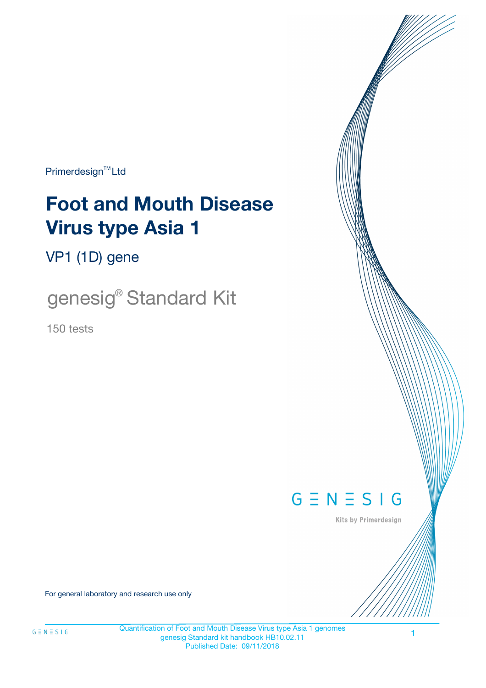Primerdesign<sup>™</sup>Ltd

# **Foot and Mouth Disease Virus type Asia 1**

VP1 (1D) gene

genesig® Standard Kit

150 tests



Kits by Primerdesign

For general laboratory and research use only

1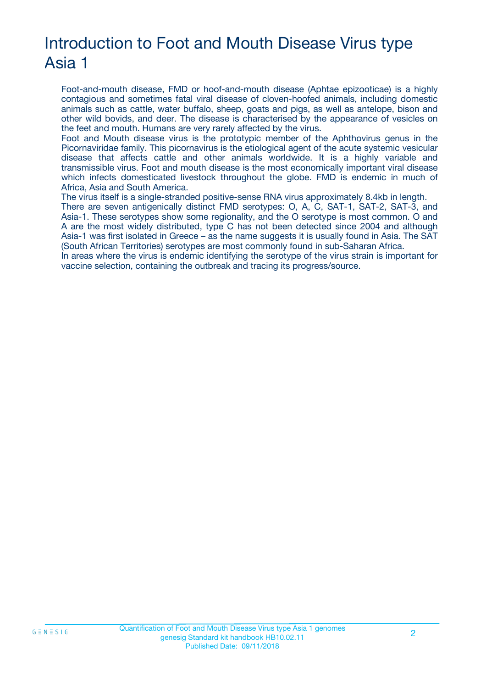# Introduction to Foot and Mouth Disease Virus type Asia 1

Foot-and-mouth disease, FMD or hoof-and-mouth disease (Aphtae epizooticae) is a highly contagious and sometimes fatal viral disease of cloven-hoofed animals, including domestic animals such as cattle, water buffalo, sheep, goats and pigs, as well as antelope, bison and other wild bovids, and deer. The disease is characterised by the appearance of vesicles on the feet and mouth. Humans are very rarely affected by the virus.

Foot and Mouth disease virus is the prototypic member of the Aphthovirus genus in the Picornaviridae family. This picornavirus is the etiological agent of the acute systemic vesicular disease that affects cattle and other animals worldwide. It is a highly variable and transmissible virus. Foot and mouth disease is the most economically important viral disease which infects domesticated livestock throughout the globe. FMD is endemic in much of Africa, Asia and South America.

The virus itself is a single-stranded positive-sense RNA virus approximately 8.4kb in length. There are seven antigenically distinct FMD serotypes: O, A, C, SAT-1, SAT-2, SAT-3, and Asia-1. These serotypes show some regionality, and the O serotype is most common. O and A are the most widely distributed, type C has not been detected since 2004 and although Asia-1 was first isolated in Greece – as the name suggests it is usually found in Asia. The SAT (South African Territories) serotypes are most commonly found in sub-Saharan Africa.

In areas where the virus is endemic identifying the serotype of the virus strain is important for vaccine selection, containing the outbreak and tracing its progress/source.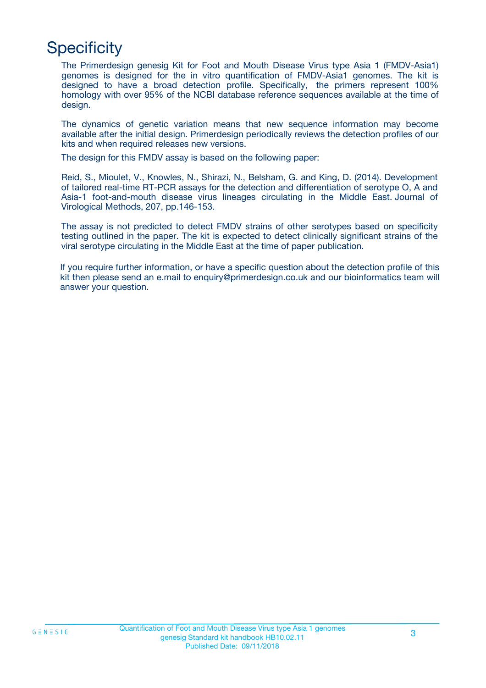# **Specificity**

The Primerdesign genesig Kit for Foot and Mouth Disease Virus type Asia 1 (FMDV-Asia1) genomes is designed for the in vitro quantification of FMDV-Asia1 genomes. The kit is designed to have a broad detection profile. Specifically, the primers represent 100% homology with over 95% of the NCBI database reference sequences available at the time of design.

The dynamics of genetic variation means that new sequence information may become available after the initial design. Primerdesign periodically reviews the detection profiles of our kits and when required releases new versions.

The design for this FMDV assay is based on the following paper:

Reid, S., Mioulet, V., Knowles, N., Shirazi, N., Belsham, G. and King, D. (2014). Development of tailored real-time RT-PCR assays for the detection and differentiation of serotype O, A and Asia-1 foot-and-mouth disease virus lineages circulating in the Middle East. Journal of Virological Methods, 207, pp.146-153.

The assay is not predicted to detect FMDV strains of other serotypes based on specificity testing outlined in the paper. The kit is expected to detect clinically significant strains of the viral serotype circulating in the Middle East at the time of paper publication.

If you require further information, or have a specific question about the detection profile of this kit then please send an e.mail to enquiry@primerdesign.co.uk and our bioinformatics team will answer your question.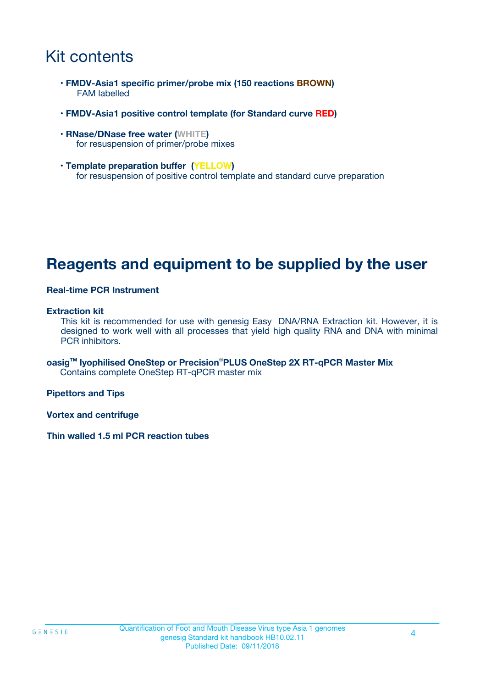### Kit contents

- **FMDV-Asia1 specific primer/probe mix (150 reactions BROWN)** FAM labelled
- **FMDV-Asia1 positive control template (for Standard curve RED)**
- **RNase/DNase free water (WHITE)** for resuspension of primer/probe mixes
- **Template preparation buffer (YELLOW)** for resuspension of positive control template and standard curve preparation

### **Reagents and equipment to be supplied by the user**

#### **Real-time PCR Instrument**

#### **Extraction kit**

This kit is recommended for use with genesig Easy DNA/RNA Extraction kit. However, it is designed to work well with all processes that yield high quality RNA and DNA with minimal PCR inhibitors.

**oasigTM lyophilised OneStep or Precision**®**PLUS OneStep 2X RT-qPCR Master Mix** Contains complete OneStep RT-qPCR master mix

**Pipettors and Tips**

**Vortex and centrifuge**

**Thin walled 1.5 ml PCR reaction tubes**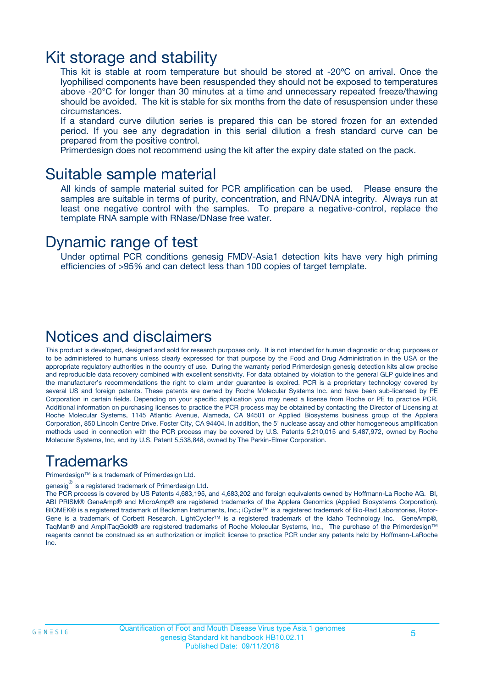### Kit storage and stability

This kit is stable at room temperature but should be stored at -20ºC on arrival. Once the lyophilised components have been resuspended they should not be exposed to temperatures above -20°C for longer than 30 minutes at a time and unnecessary repeated freeze/thawing should be avoided. The kit is stable for six months from the date of resuspension under these circumstances.

If a standard curve dilution series is prepared this can be stored frozen for an extended period. If you see any degradation in this serial dilution a fresh standard curve can be prepared from the positive control.

Primerdesign does not recommend using the kit after the expiry date stated on the pack.

### Suitable sample material

All kinds of sample material suited for PCR amplification can be used. Please ensure the samples are suitable in terms of purity, concentration, and RNA/DNA integrity. Always run at least one negative control with the samples. To prepare a negative-control, replace the template RNA sample with RNase/DNase free water.

### Dynamic range of test

Under optimal PCR conditions genesig FMDV-Asia1 detection kits have very high priming efficiencies of >95% and can detect less than 100 copies of target template.

### Notices and disclaimers

This product is developed, designed and sold for research purposes only. It is not intended for human diagnostic or drug purposes or to be administered to humans unless clearly expressed for that purpose by the Food and Drug Administration in the USA or the appropriate regulatory authorities in the country of use. During the warranty period Primerdesign genesig detection kits allow precise and reproducible data recovery combined with excellent sensitivity. For data obtained by violation to the general GLP guidelines and the manufacturer's recommendations the right to claim under guarantee is expired. PCR is a proprietary technology covered by several US and foreign patents. These patents are owned by Roche Molecular Systems Inc. and have been sub-licensed by PE Corporation in certain fields. Depending on your specific application you may need a license from Roche or PE to practice PCR. Additional information on purchasing licenses to practice the PCR process may be obtained by contacting the Director of Licensing at Roche Molecular Systems, 1145 Atlantic Avenue, Alameda, CA 94501 or Applied Biosystems business group of the Applera Corporation, 850 Lincoln Centre Drive, Foster City, CA 94404. In addition, the 5' nuclease assay and other homogeneous amplification methods used in connection with the PCR process may be covered by U.S. Patents 5,210,015 and 5,487,972, owned by Roche Molecular Systems, Inc, and by U.S. Patent 5,538,848, owned by The Perkin-Elmer Corporation.

### Trademarks

Primerdesign™ is a trademark of Primerdesign Ltd.

genesig $^\circledR$  is a registered trademark of Primerdesign Ltd.

The PCR process is covered by US Patents 4,683,195, and 4,683,202 and foreign equivalents owned by Hoffmann-La Roche AG. BI, ABI PRISM® GeneAmp® and MicroAmp® are registered trademarks of the Applera Genomics (Applied Biosystems Corporation). BIOMEK® is a registered trademark of Beckman Instruments, Inc.; iCycler™ is a registered trademark of Bio-Rad Laboratories, Rotor-Gene is a trademark of Corbett Research. LightCycler™ is a registered trademark of the Idaho Technology Inc. GeneAmp®, TaqMan® and AmpliTaqGold® are registered trademarks of Roche Molecular Systems, Inc., The purchase of the Primerdesign™ reagents cannot be construed as an authorization or implicit license to practice PCR under any patents held by Hoffmann-LaRoche Inc.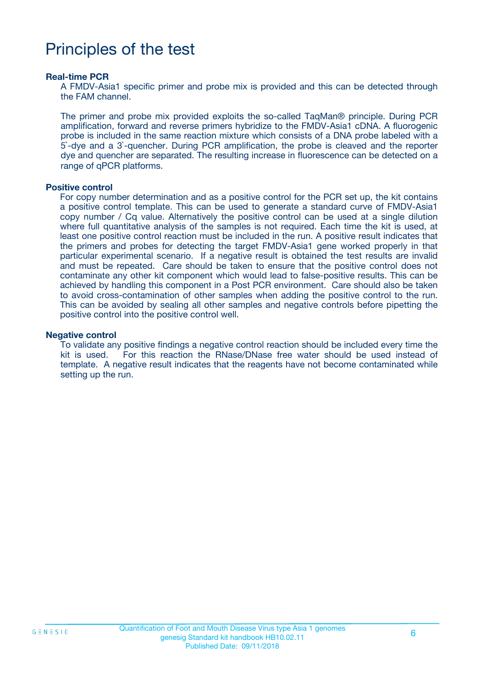### Principles of the test

#### **Real-time PCR**

A FMDV-Asia1 specific primer and probe mix is provided and this can be detected through the FAM channel.

The primer and probe mix provided exploits the so-called TaqMan® principle. During PCR amplification, forward and reverse primers hybridize to the FMDV-Asia1 cDNA. A fluorogenic probe is included in the same reaction mixture which consists of a DNA probe labeled with a 5`-dye and a 3`-quencher. During PCR amplification, the probe is cleaved and the reporter dye and quencher are separated. The resulting increase in fluorescence can be detected on a range of qPCR platforms.

#### **Positive control**

For copy number determination and as a positive control for the PCR set up, the kit contains a positive control template. This can be used to generate a standard curve of FMDV-Asia1 copy number / Cq value. Alternatively the positive control can be used at a single dilution where full quantitative analysis of the samples is not required. Each time the kit is used, at least one positive control reaction must be included in the run. A positive result indicates that the primers and probes for detecting the target FMDV-Asia1 gene worked properly in that particular experimental scenario. If a negative result is obtained the test results are invalid and must be repeated. Care should be taken to ensure that the positive control does not contaminate any other kit component which would lead to false-positive results. This can be achieved by handling this component in a Post PCR environment. Care should also be taken to avoid cross-contamination of other samples when adding the positive control to the run. This can be avoided by sealing all other samples and negative controls before pipetting the positive control into the positive control well.

#### **Negative control**

To validate any positive findings a negative control reaction should be included every time the kit is used. For this reaction the RNase/DNase free water should be used instead of template. A negative result indicates that the reagents have not become contaminated while setting up the run.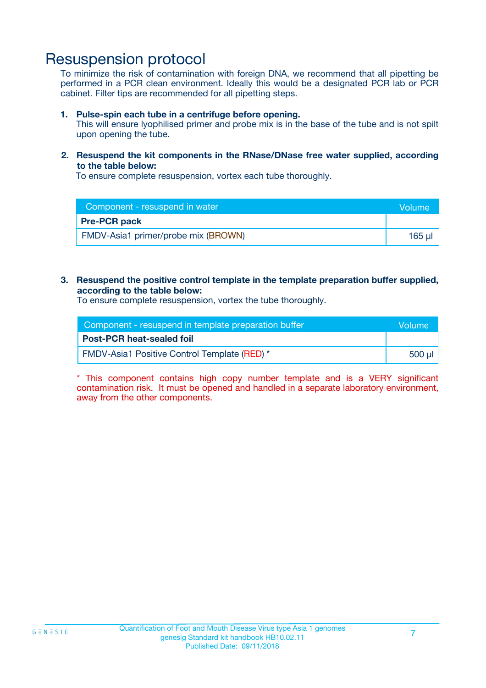### Resuspension protocol

To minimize the risk of contamination with foreign DNA, we recommend that all pipetting be performed in a PCR clean environment. Ideally this would be a designated PCR lab or PCR cabinet. Filter tips are recommended for all pipetting steps.

#### **1. Pulse-spin each tube in a centrifuge before opening.**

This will ensure lyophilised primer and probe mix is in the base of the tube and is not spilt upon opening the tube.

#### **2. Resuspend the kit components in the RNase/DNase free water supplied, according to the table below:**

To ensure complete resuspension, vortex each tube thoroughly.

| Component - resuspend in water      | <b>Volume</b> |
|-------------------------------------|---------------|
| <b>Pre-PCR pack</b>                 |               |
| FMDV-Asia1 primer/probe mix (BROWN) | $165$ µ       |

#### **3. Resuspend the positive control template in the template preparation buffer supplied, according to the table below:**

To ensure complete resuspension, vortex the tube thoroughly.

| Component - resuspend in template preparation buffer |         |  |
|------------------------------------------------------|---------|--|
| <b>Post-PCR heat-sealed foil</b>                     |         |  |
| <b>FMDV-Asia1 Positive Control Template (RED)</b> *  | .500 ul |  |

\* This component contains high copy number template and is a VERY significant contamination risk. It must be opened and handled in a separate laboratory environment, away from the other components.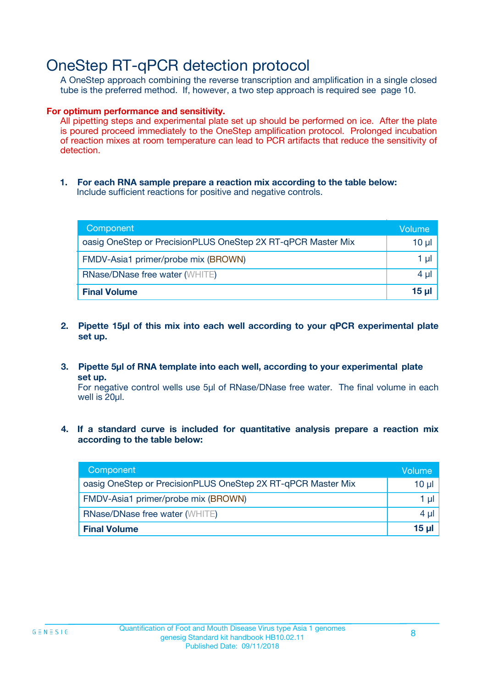### OneStep RT-qPCR detection protocol

A OneStep approach combining the reverse transcription and amplification in a single closed tube is the preferred method. If, however, a two step approach is required see page 10.

#### **For optimum performance and sensitivity.**

All pipetting steps and experimental plate set up should be performed on ice. After the plate is poured proceed immediately to the OneStep amplification protocol. Prolonged incubation of reaction mixes at room temperature can lead to PCR artifacts that reduce the sensitivity of detection.

**1. For each RNA sample prepare a reaction mix according to the table below:** Include sufficient reactions for positive and negative controls.

| Component                                                    | Volume   |
|--------------------------------------------------------------|----------|
| oasig OneStep or PrecisionPLUS OneStep 2X RT-qPCR Master Mix | $10 \mu$ |
| FMDV-Asia1 primer/probe mix (BROWN)                          | 1 µl     |
| <b>RNase/DNase free water (WHITE)</b>                        | 4 µl     |
| <b>Final Volume</b>                                          | $15$ µ   |

- **2. Pipette 15µl of this mix into each well according to your qPCR experimental plate set up.**
- **3. Pipette 5µl of RNA template into each well, according to your experimental plate set up.**

For negative control wells use 5µl of RNase/DNase free water. The final volume in each well is 20ul.

**4. If a standard curve is included for quantitative analysis prepare a reaction mix according to the table below:**

| Component                                                    | Volume          |
|--------------------------------------------------------------|-----------------|
| oasig OneStep or PrecisionPLUS OneStep 2X RT-qPCR Master Mix | 10 <sub>µ</sub> |
| FMDV-Asia1 primer/probe mix (BROWN)                          | 1 µl            |
| <b>RNase/DNase free water (WHITE)</b>                        | $4 \mu$         |
| <b>Final Volume</b>                                          | 15 ul           |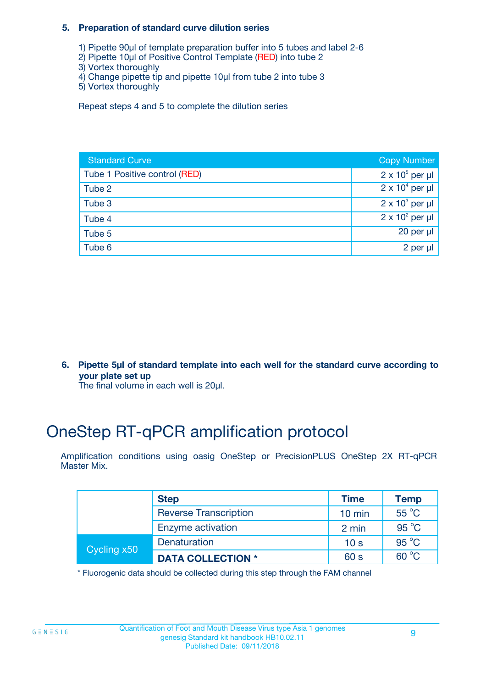#### **5. Preparation of standard curve dilution series**

- 1) Pipette 90µl of template preparation buffer into 5 tubes and label 2-6
- 2) Pipette 10µl of Positive Control Template (RED) into tube 2
- 3) Vortex thoroughly
- 4) Change pipette tip and pipette 10µl from tube 2 into tube 3
- 5) Vortex thoroughly

Repeat steps 4 and 5 to complete the dilution series

| <b>Standard Curve</b>         | <b>Copy Number</b>     |
|-------------------------------|------------------------|
| Tube 1 Positive control (RED) | $2 \times 10^5$ per µl |
| Tube 2                        | $2 \times 10^4$ per µl |
| Tube 3                        | $2 \times 10^3$ per µl |
| Tube 4                        | $2 \times 10^2$ per µl |
| Tube 5                        | 20 per $\mu$           |
| Tube 6                        | 2 per µl               |

**6. Pipette 5µl of standard template into each well for the standard curve according to your plate set up**

The final volume in each well is 20ul.

# OneStep RT-qPCR amplification protocol

Amplification conditions using oasig OneStep or PrecisionPLUS OneStep 2X RT-qPCR Master Mix.

|             | <b>Step</b>                  | <b>Time</b>      | <b>Temp</b>    |
|-------------|------------------------------|------------------|----------------|
|             | <b>Reverse Transcription</b> | $10 \text{ min}$ | 55 °C          |
|             | Enzyme activation            | 2 min            | $95^{\circ}$ C |
| Cycling x50 | Denaturation                 | 10 <sub>s</sub>  | $95^{\circ}$ C |
|             | <b>DATA COLLECTION *</b>     | 60 s             | $60^{\circ}$ C |

\* Fluorogenic data should be collected during this step through the FAM channel